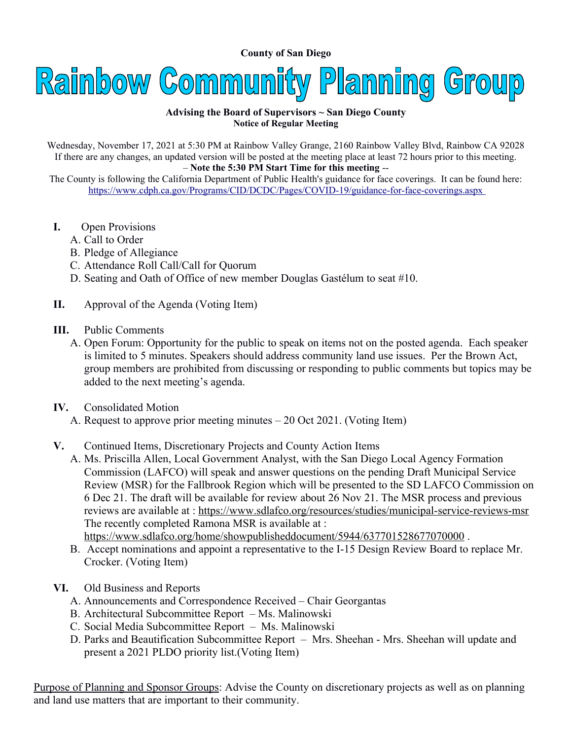**County of San Diego** 



## **Advising the Board of Supervisors ~ San Diego County Notice of Regular Meeting**

Wednesday, November 17, 2021 at 5:30 PM at Rainbow Valley Grange, 2160 Rainbow Valley Blvd, Rainbow CA 92028 If there are any changes, an updated version will be posted at the meeting place at least 72 hours prior to this meeting. – **Note the 5:30 PM Start Time for this meeting** --

The County is following the California Department of Public Health's guidance for face coverings. It can be found here: <https://www.cdph.ca.gov/Programs/CID/DCDC/Pages/COVID-19/guidance-for-face-coverings.aspx>

- **I.** Open Provisions
	- A. Call to Order
	- B. Pledge of Allegiance
	- C. Attendance Roll Call/Call for Quorum
	- D. Seating and Oath of Office of new member Douglas Gastélum to seat #10.
- **II.** Approval of the Agenda (Voting Item)
- **III.** Public Comments
	- A. Open Forum: Opportunity for the public to speak on items not on the posted agenda. Each speaker is limited to 5 minutes. Speakers should address community land use issues. Per the Brown Act, group members are prohibited from discussing or responding to public comments but topics may be added to the next meeting's agenda.
- **IV.** Consolidated Motion
	- A. Request to approve prior meeting minutes 20 Oct 2021. (Voting Item)
- **V.** Continued Items, Discretionary Projects and County Action Items
	- A. Ms. Priscilla Allen, Local Government Analyst, with the San Diego Local Agency Formation Commission (LAFCO) will speak and answer questions on the pending Draft Municipal Service Review (MSR) for the Fallbrook Region which will be presented to the SD LAFCO Commission on 6 Dec 21. The draft will be available for review about 26 Nov 21. The MSR process and previous reviews are available at :<https://www.sdlafco.org/resources/studies/municipal-service-reviews-msr> The recently completed Ramona MSR is available at :

<https://www.sdlafco.org/home/showpublisheddocument/5944/637701528677070000>.

- B. Accept nominations and appoint a representative to the I-15 Design Review Board to replace Mr. Crocker. (Voting Item)
- **VI.** Old Business and Reports
	- A. Announcements and Correspondence Received Chair Georgantas
	- B. Architectural Subcommittee Report Ms. Malinowski
	- C. Social Media Subcommittee Report Ms. Malinowski
	- D. Parks and Beautification Subcommittee Report Mrs. Sheehan Mrs. Sheehan will update and present a 2021 PLDO priority list.(Voting Item)

Purpose of Planning and Sponsor Groups: Advise the County on discretionary projects as well as on planning and land use matters that are important to their community.